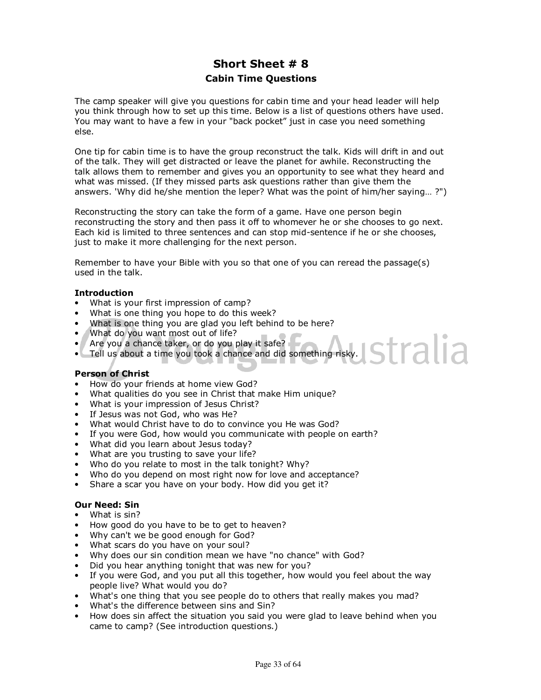# **Short Sheet # 8 Cabin Time Questions**

The camp speaker will give you questions for cabin time and your head leader will help you think through how to set up this time. Below is a list of questions others have used. You may want to have a few in your "back pocket" just in case you need something else.

One tip for cabin time is to have the group reconstruct the talk. Kids will drift in and out of the talk. They will get distracted or leave the planet for awhile. Reconstructing the talk allows them to remember and gives you an opportunity to see what they heard and what was missed. (If they missed parts ask questions rather than give them the answers. 'Why did he/she mention the leper? What was the point of him/her saying… ?")

Reconstructing the story can take the form of a game. Have one person begin reconstructing the story and then pass it off to whomever he or she chooses to go next. Each kid is limited to three sentences and can stop mid-sentence if he or she chooses, just to make it more challenging for the next person.

Remember to have your Bible with you so that one of you can reread the passage(s) used in the talk.

## **Introduction**

- What is your first impression of camp?
- What is one thing you hope to do this week?
- What is one thing you are glad you left behind to be here?
- What do you want most out of life?
- Are you a chance taker, or do you play it safe?
- stralia • Tell us about a time you took a chance and did something risky.

#### **Person of Christ**

- How do your friends at home view God?
- What qualities do you see in Christ that make Him unique?
- What is your impression of Jesus Christ?
- If Jesus was not God, who was He?
- What would Christ have to do to convince you He was God?
- If you were God, how would you communicate with people on earth?
- What did you learn about Jesus today?
- What are you trusting to save your life?
- Who do you relate to most in the talk tonight? Why?
- Who do you depend on most right now for love and acceptance?
- Share a scar you have on your body. How did you get it?

#### **Our Need: Sin**

- What is sin?
- How good do you have to be to get to heaven?
- Why can't we be good enough for God?
- What scars do you have on your soul?
- Why does our sin condition mean we have "no chance" with God?
- Did you hear anything tonight that was new for you?
- If you were God, and you put all this together, how would you feel about the way people live? What would you do?
- What's one thing that you see people do to others that really makes you mad?
- What's the difference between sins and Sin?
- How does sin affect the situation you said you were glad to leave behind when you came to camp? (See introduction questions.)